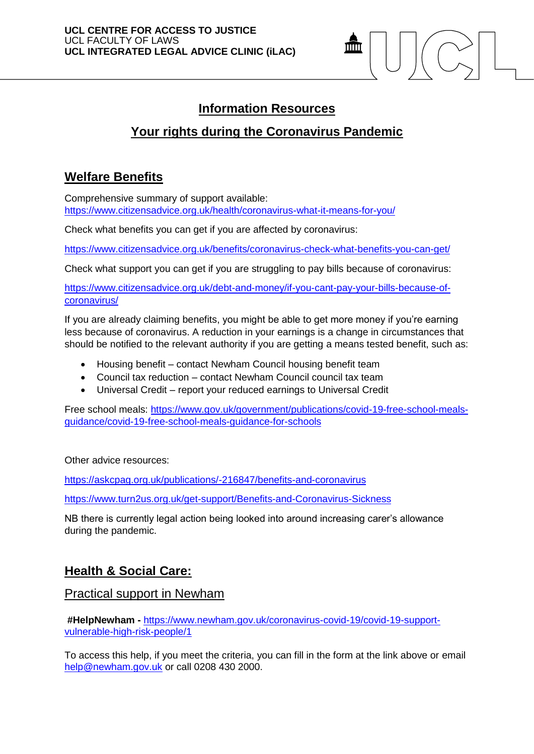

# **Information Resources**

# **Your rights during the Coronavirus Pandemic**

## **Welfare Benefits**

Comprehensive summary of support available: <https://www.citizensadvice.org.uk/health/coronavirus-what-it-means-for-you/>

Check what benefits you can get if you are affected by coronavirus:

<https://www.citizensadvice.org.uk/benefits/coronavirus-check-what-benefits-you-can-get/>

Check what support you can get if you are struggling to pay bills because of coronavirus:

[https://www.citizensadvice.org.uk/debt-and-money/if-you-cant-pay-your-bills-because-of](https://www.citizensadvice.org.uk/debt-and-money/if-you-cant-pay-your-bills-because-of-coronavirus/)[coronavirus/](https://www.citizensadvice.org.uk/debt-and-money/if-you-cant-pay-your-bills-because-of-coronavirus/)

If you are already claiming benefits, you might be able to get more money if you're earning less because of coronavirus. A reduction in your earnings is a change in circumstances that should be notified to the relevant authority if you are getting a means tested benefit, such as:

- Housing benefit contact Newham Council housing benefit team
- Council tax reduction contact Newham Council council tax team
- Universal Credit report your reduced earnings to Universal Credit

Free school meals: [https://www.gov.uk/government/publications/covid-19-free-school-meals](https://www.gov.uk/government/publications/covid-19-free-school-meals-guidance/covid-19-free-school-meals-guidance-for-schools)[guidance/covid-19-free-school-meals-guidance-for-schools](https://www.gov.uk/government/publications/covid-19-free-school-meals-guidance/covid-19-free-school-meals-guidance-for-schools)

Other advice resources:

<https://askcpag.org.uk/publications/-216847/benefits-and-coronavirus>

<https://www.turn2us.org.uk/get-support/Benefits-and-Coronavirus-Sickness>

NB there is currently legal action being looked into around increasing carer's allowance during the pandemic.

### **Health & Social Care:**

Practical support in Newham

**#HelpNewham -** [https://www.newham.gov.uk/coronavirus-covid-19/covid-19-support](https://www.newham.gov.uk/coronavirus-covid-19/covid-19-support-vulnerable-high-risk-people/1)[vulnerable-high-risk-people/1](https://www.newham.gov.uk/coronavirus-covid-19/covid-19-support-vulnerable-high-risk-people/1)

To access this help, if you meet the criteria, you can fill in the form at the link above or email [help@newham.gov.uk](mailto:help@newham.gov.uk) or call 0208 430 2000.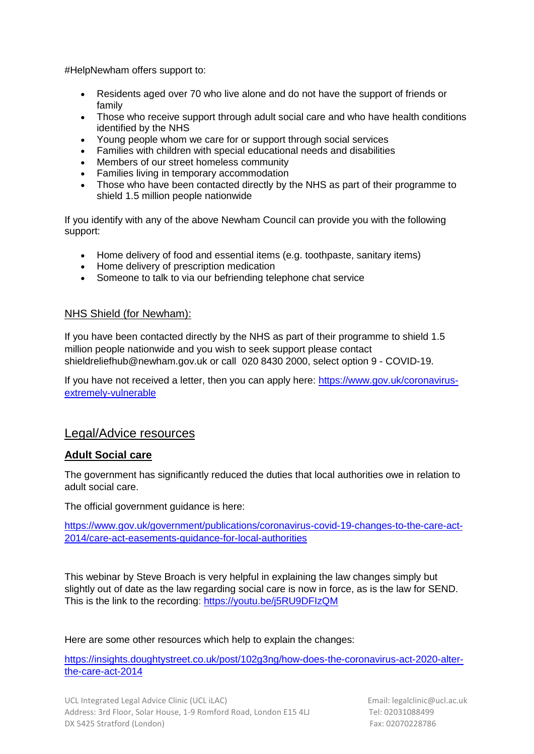#HelpNewham offers support to:

- Residents aged over 70 who live alone and do not have the support of friends or family
- Those who receive support through adult social care and who have health conditions identified by the NHS
- Young people whom we care for or support through social services
- Families with children with special educational needs and disabilities
- Members of our street homeless community
- Families living in temporary accommodation
- Those who have been contacted directly by the NHS as part of their programme to shield 1.5 million people nationwide

If you identify with any of the above Newham Council can provide you with the following support:

- Home delivery of food and essential items (e.g. toothpaste, sanitary items)
- Home delivery of prescription medication
- Someone to talk to via our befriending telephone chat service

#### NHS Shield (for Newham):

If you have been contacted directly by the NHS as part of their programme to shield 1.5 million people nationwide and you wish to seek support please contact shieldreliefhub@newham.gov.uk or call 020 8430 2000, select option 9 - COVID-19.

If you have not received a letter, then you can apply here: [https://www.gov.uk/coronavirus](https://www.gov.uk/coronavirus-extremely-vulnerable)[extremely-vulnerable](https://www.gov.uk/coronavirus-extremely-vulnerable)

### Legal/Advice resources

#### **Adult Social care**

The government has significantly reduced the duties that local authorities owe in relation to adult social care.

The official government quidance is here:

[https://www.gov.uk/government/publications/coronavirus-covid-19-changes-to-the-care-act-](https://www.gov.uk/government/publications/coronavirus-covid-19-changes-to-the-care-act-2014/care-act-easements-guidance-for-local-authorities)[2014/care-act-easements-guidance-for-local-authorities](https://www.gov.uk/government/publications/coronavirus-covid-19-changes-to-the-care-act-2014/care-act-easements-guidance-for-local-authorities)

This webinar by Steve Broach is very helpful in explaining the law changes simply but slightly out of date as the law regarding social care is now in force, as is the law for SEND. This is the link to the recording: [https://youtu.be/j5RU9DFIzQM](https://eur01.safelinks.protection.outlook.com/?url=https%3A%2F%2Fyoutu.be%2Fj5RU9DFIzQM&data=02%7C01%7C%7Cf665efc407564fe20cc108d7d4db013c%7C1faf88fea9984c5b93c9210a11d9a5c2%7C0%7C1%7C637211909397243158&sdata=wjlX3iGWkdCzxQbOmT3AvErap%2BkgMHhE2RdCS2sF7q0%3D&reserved=0)

Here are some other resources which help to explain the changes:

[https://insights.doughtystreet.co.uk/post/102g3ng/how-does-the-coronavirus-act-2020-alter](https://insights.doughtystreet.co.uk/post/102g3ng/how-does-the-coronavirus-act-2020-alter-the-care-act-2014)[the-care-act-2014](https://insights.doughtystreet.co.uk/post/102g3ng/how-does-the-coronavirus-act-2020-alter-the-care-act-2014)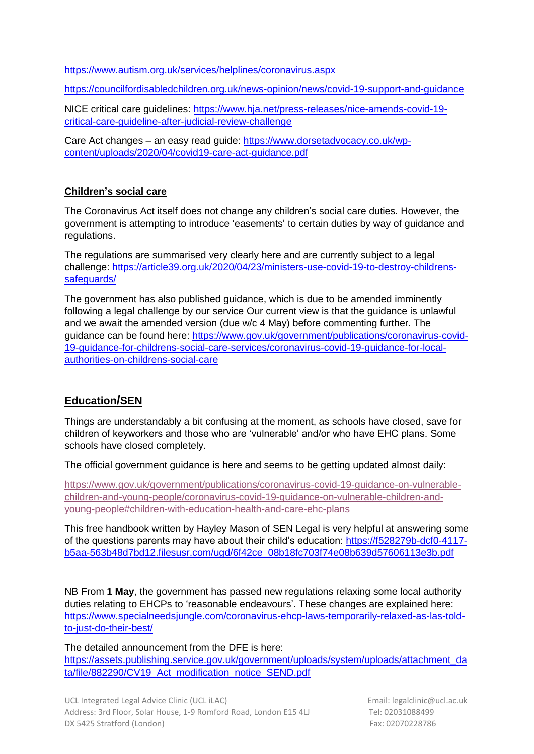<https://www.autism.org.uk/services/helplines/coronavirus.aspx>

<https://councilfordisabledchildren.org.uk/news-opinion/news/covid-19-support-and-guidance>

NICE critical care guidelines: [https://www.hja.net/press-releases/nice-amends-covid-19](https://www.hja.net/press-releases/nice-amends-covid-19-critical-care-guideline-after-judicial-review-challenge) [critical-care-guideline-after-judicial-review-challenge](https://www.hja.net/press-releases/nice-amends-covid-19-critical-care-guideline-after-judicial-review-challenge)

Care Act changes – an easy read guide: [https://www.dorsetadvocacy.co.uk/wp](https://www.dorsetadvocacy.co.uk/wp-content/uploads/2020/04/covid19-care-act-guidance.pdf)[content/uploads/2020/04/covid19-care-act-guidance.pdf](https://www.dorsetadvocacy.co.uk/wp-content/uploads/2020/04/covid19-care-act-guidance.pdf)

#### **Children's social care**

The Coronavirus Act itself does not change any children's social care duties. However, the government is attempting to introduce 'easements' to certain duties by way of guidance and regulations.

The regulations are summarised very clearly here and are currently subject to a legal challenge: [https://article39.org.uk/2020/04/23/ministers-use-covid-19-to-destroy-childrens](https://article39.org.uk/2020/04/23/ministers-use-covid-19-to-destroy-childrens-safeguards/)[safeguards/](https://article39.org.uk/2020/04/23/ministers-use-covid-19-to-destroy-childrens-safeguards/)

The government has also published guidance, which is due to be amended imminently following a legal challenge by our service Our current view is that the guidance is unlawful and we await the amended version (due w/c 4 May) before commenting further. The guidance can be found here: [https://www.gov.uk/government/publications/coronavirus-covid-](https://www.gov.uk/government/publications/coronavirus-covid-19-guidance-for-childrens-social-care-services/coronavirus-covid-19-guidance-for-local-authorities-on-childrens-social-care)[19-guidance-for-childrens-social-care-services/coronavirus-covid-19-guidance-for-local](https://www.gov.uk/government/publications/coronavirus-covid-19-guidance-for-childrens-social-care-services/coronavirus-covid-19-guidance-for-local-authorities-on-childrens-social-care)[authorities-on-childrens-social-care](https://www.gov.uk/government/publications/coronavirus-covid-19-guidance-for-childrens-social-care-services/coronavirus-covid-19-guidance-for-local-authorities-on-childrens-social-care)

### **Education/SEN**

Things are understandably a bit confusing at the moment, as schools have closed, save for children of keyworkers and those who are 'vulnerable' and/or who have EHC plans. Some schools have closed completely.

The official government guidance is here and seems to be getting updated almost daily:

[https://www.gov.uk/government/publications/coronavirus-covid-19-guidance-on-vulnerable](https://www.gov.uk/government/publications/coronavirus-covid-19-guidance-on-vulnerable-children-and-young-people/coronavirus-covid-19-guidance-on-vulnerable-children-and-young-people#children-with-education-health-and-care-ehc-plans)[children-and-young-people/coronavirus-covid-19-guidance-on-vulnerable-children-and](https://www.gov.uk/government/publications/coronavirus-covid-19-guidance-on-vulnerable-children-and-young-people/coronavirus-covid-19-guidance-on-vulnerable-children-and-young-people#children-with-education-health-and-care-ehc-plans)[young-people#children-with-education-health-and-care-ehc-plans](https://www.gov.uk/government/publications/coronavirus-covid-19-guidance-on-vulnerable-children-and-young-people/coronavirus-covid-19-guidance-on-vulnerable-children-and-young-people#children-with-education-health-and-care-ehc-plans)

This free handbook written by Hayley Mason of SEN Legal is very helpful at answering some of the questions parents may have about their child's education: [https://f528279b-dcf0-4117](https://f528279b-dcf0-4117-b5aa-563b48d7bd12.filesusr.com/ugd/6f42ce_08b18fc703f74e08b639d57606113e3b.pdf) [b5aa-563b48d7bd12.filesusr.com/ugd/6f42ce\\_08b18fc703f74e08b639d57606113e3b.pdf](https://f528279b-dcf0-4117-b5aa-563b48d7bd12.filesusr.com/ugd/6f42ce_08b18fc703f74e08b639d57606113e3b.pdf)

NB From **1 May**, the government has passed new regulations relaxing some local authority duties relating to EHCPs to 'reasonable endeavours'. These changes are explained here: [https://www.specialneedsjungle.com/coronavirus-ehcp-laws-temporarily-relaxed-as-las-told](https://www.specialneedsjungle.com/coronavirus-ehcp-laws-temporarily-relaxed-as-las-told-to-just-do-their-best/)[to-just-do-their-best/](https://www.specialneedsjungle.com/coronavirus-ehcp-laws-temporarily-relaxed-as-las-told-to-just-do-their-best/)

The detailed announcement from the DFE is here: [https://assets.publishing.service.gov.uk/government/uploads/system/uploads/attachment\\_da](https://assets.publishing.service.gov.uk/government/uploads/system/uploads/attachment_data/file/882290/CV19_Act_modification_notice_SEND.pdf) [ta/file/882290/CV19\\_Act\\_modification\\_notice\\_SEND.pdf](https://assets.publishing.service.gov.uk/government/uploads/system/uploads/attachment_data/file/882290/CV19_Act_modification_notice_SEND.pdf)